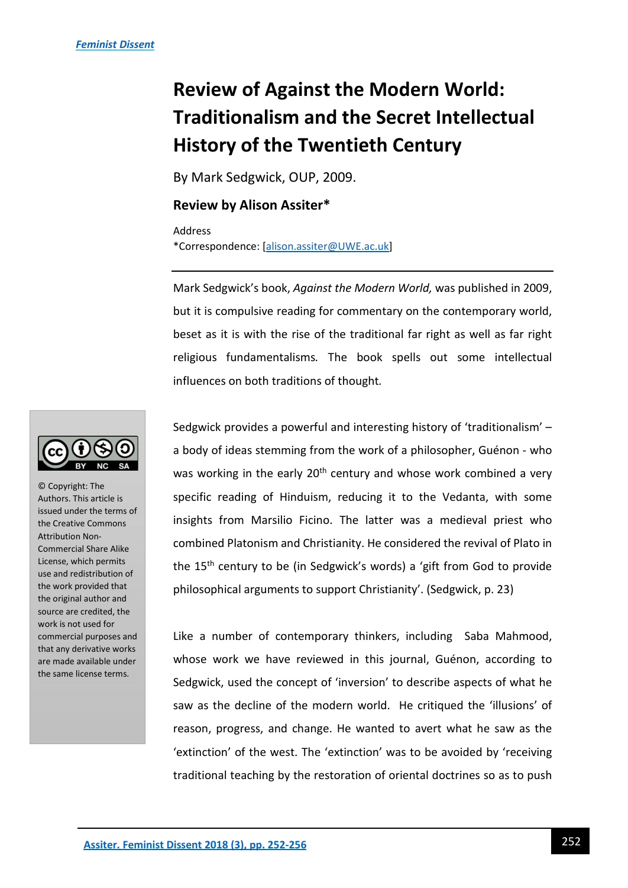# **Review of Against the Modern World: Traditionalism and the Secret Intellectual History of the Twentieth Century**

By Mark Sedgwick, OUP, 2009.

#### **Review by Alison Assiter\***

Address \*Correspondence: [\[alison.assiter@UWE.ac.uk\]](mailto:alison.assiter@UWE.ac.uk)

Mark Sedgwick's book, *Against the Modern World,* was published in 2009, but it is compulsive reading for commentary on the contemporary world, beset as it is with the rise of the traditional far right as well as far right religious fundamentalisms*.* The book spells out some intellectual influences on both traditions of thought*.* 

Sedgwick provides a powerful and interesting history of 'traditionalism' – a body of ideas stemming from the work of a philosopher, Guénon - who was working in the early 20<sup>th</sup> century and whose work combined a very specific reading of Hinduism, reducing it to the Vedanta, with some insights from Marsilio Ficino. The latter was a medieval priest who combined Platonism and Christianity. He considered the revival of Plato in the 15th century to be (in Sedgwick's words) a 'gift from God to provide philosophical arguments to support Christianity'. (Sedgwick, p. 23)

Like a number of contemporary thinkers, including Saba Mahmood, whose work we have reviewed in this journal, Guénon, according to Sedgwick, used the concept of 'inversion' to describe aspects of what he saw as the decline of the modern world. He critiqued the 'illusions' of reason, progress, and change. He wanted to avert what he saw as the 'extinction' of the west. The 'extinction' was to be avoided by 'receiving traditional teaching by the restoration of oriental doctrines so as to push



© Copyright: The Authors. This article is issued under the terms of the Creative Commons Attribution Non-Commercial Share Alike License, which permits use and redistribution of the work provided that the original author and source are credited, the work is not used for commercial purposes and that any derivative works are made available under the same license terms.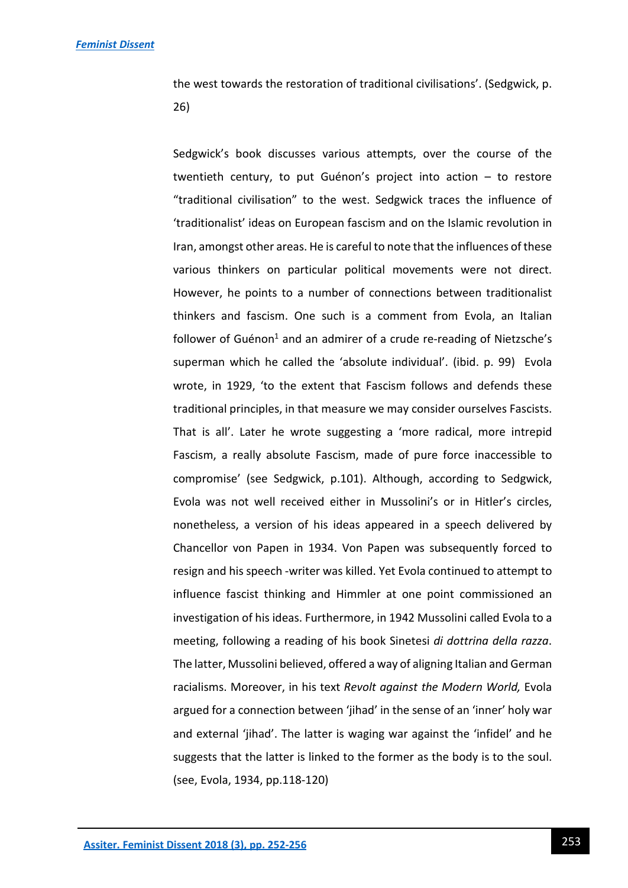the west towards the restoration of traditional civilisations'. (Sedgwick, p. 26)

Sedgwick's book discusses various attempts, over the course of the twentieth century, to put Guénon's project into action – to restore "traditional civilisation" to the west. Sedgwick traces the influence of 'traditionalist' ideas on European fascism and on the Islamic revolution in Iran, amongst other areas. He is careful to note that the influences of these various thinkers on particular political movements were not direct. However, he points to a number of connections between traditionalist thinkers and fascism. One such is a comment from Evola, an Italian follower of Guénon<sup>1</sup> and an admirer of a crude re-reading of Nietzsche's superman which he called the 'absolute individual'. (ibid. p. 99) Evola wrote, in 1929, 'to the extent that Fascism follows and defends these traditional principles, in that measure we may consider ourselves Fascists. That is all'. Later he wrote suggesting a 'more radical, more intrepid Fascism, a really absolute Fascism, made of pure force inaccessible to compromise' (see Sedgwick, p.101). Although, according to Sedgwick, Evola was not well received either in Mussolini's or in Hitler's circles, nonetheless, a version of his ideas appeared in a speech delivered by Chancellor von Papen in 1934. Von Papen was subsequently forced to resign and his speech -writer was killed. Yet Evola continued to attempt to influence fascist thinking and Himmler at one point commissioned an investigation of his ideas. Furthermore, in 1942 Mussolini called Evola to a meeting, following a reading of his book Sinetesi *di dottrina della razza*. The latter, Mussolini believed, offered a way of aligning Italian and German racialisms. Moreover, in his text *Revolt against the Modern World,* Evola argued for a connection between 'jihad' in the sense of an 'inner' holy war and external 'jihad'. The latter is waging war against the 'infidel' and he suggests that the latter is linked to the former as the body is to the soul. (see, Evola, 1934, pp.118-120)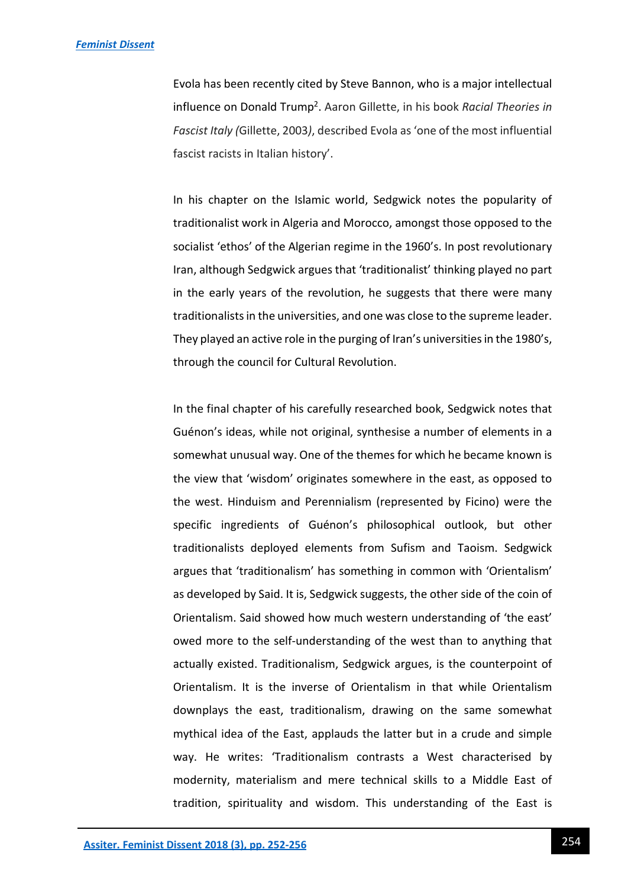Evola has been recently cited by Steve Bannon, who is a major intellectual influence on Donald Trump<sup>2</sup> . Aaron Gillette, in his book *Racial Theories in Fascist Italy (*Gillette, 2003*)*, described Evola as 'one of the most influential fascist racists in Italian history'.

In his chapter on the Islamic world, Sedgwick notes the popularity of traditionalist work in Algeria and Morocco, amongst those opposed to the socialist 'ethos' of the Algerian regime in the 1960's. In post revolutionary Iran, although Sedgwick argues that 'traditionalist' thinking played no part in the early years of the revolution, he suggests that there were many traditionalists in the universities, and one was close to the supreme leader. They played an active role in the purging of Iran's universities in the 1980's, through the council for Cultural Revolution.

In the final chapter of his carefully researched book, Sedgwick notes that Guénon's ideas, while not original, synthesise a number of elements in a somewhat unusual way. One of the themes for which he became known is the view that 'wisdom' originates somewhere in the east, as opposed to the west. Hinduism and Perennialism (represented by Ficino) were the specific ingredients of Guénon's philosophical outlook, but other traditionalists deployed elements from Sufism and Taoism. Sedgwick argues that 'traditionalism' has something in common with 'Orientalism' as developed by Said. It is, Sedgwick suggests, the other side of the coin of Orientalism. Said showed how much western understanding of 'the east' owed more to the self-understanding of the west than to anything that actually existed. Traditionalism, Sedgwick argues, is the counterpoint of Orientalism. It is the inverse of Orientalism in that while Orientalism downplays the east, traditionalism, drawing on the same somewhat mythical idea of the East, applauds the latter but in a crude and simple way. He writes: 'Traditionalism contrasts a West characterised by modernity, materialism and mere technical skills to a Middle East of tradition, spirituality and wisdom. This understanding of the East is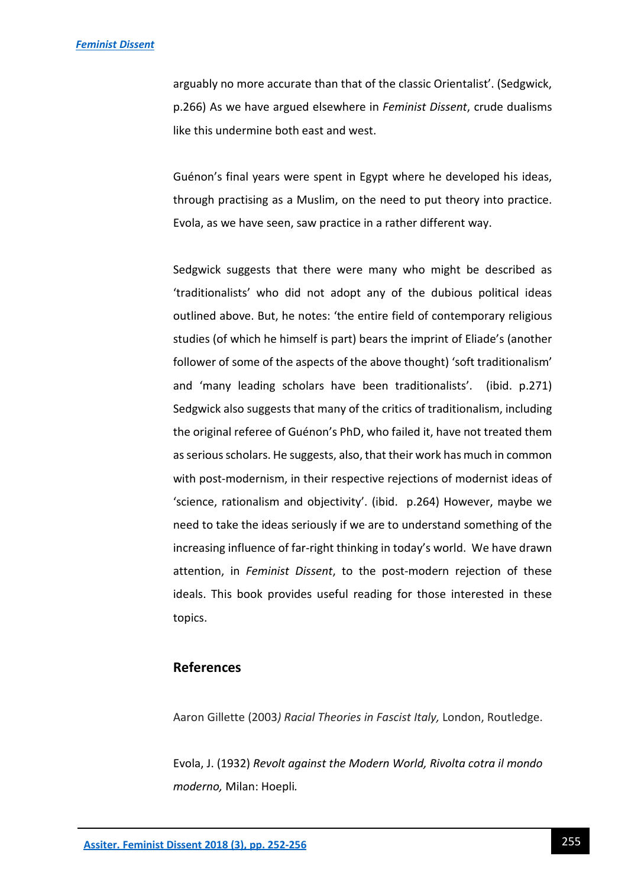arguably no more accurate than that of the classic Orientalist'. (Sedgwick, p.266) As we have argued elsewhere in *Feminist Dissent*, crude dualisms like this undermine both east and west.

Guénon's final years were spent in Egypt where he developed his ideas, through practising as a Muslim, on the need to put theory into practice. Evola, as we have seen, saw practice in a rather different way.

Sedgwick suggests that there were many who might be described as 'traditionalists' who did not adopt any of the dubious political ideas outlined above. But, he notes: 'the entire field of contemporary religious studies (of which he himself is part) bears the imprint of Eliade's (another follower of some of the aspects of the above thought) 'soft traditionalism' and 'many leading scholars have been traditionalists'. (ibid. p.271) Sedgwick also suggests that many of the critics of traditionalism, including the original referee of Guénon's PhD, who failed it, have not treated them as serious scholars. He suggests, also, that their work has much in common with post-modernism, in their respective rejections of modernist ideas of 'science, rationalism and objectivity'. (ibid. p.264) However, maybe we need to take the ideas seriously if we are to understand something of the increasing influence of far-right thinking in today's world. We have drawn attention, in *Feminist Dissent*, to the post-modern rejection of these ideals. This book provides useful reading for those interested in these topics.

### **References**

Aaron Gillette (2003*) Racial Theories in Fascist Italy,* London, Routledge.

Evola, J. (1932) *Revolt against the Modern World, Rivolta cotra il mondo moderno,* Milan: Hoepli*.*